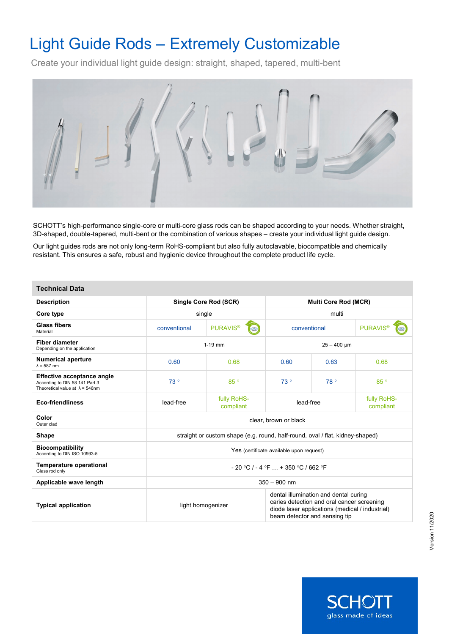# Light Guide Rods – Extremely Customizable

Create your individual light guide design: straight, shaped, tapered, multi-bent



SCHOTT's high-performance single-core or multi-core glass rods can be shaped according to your needs. Whether straight, 3D-shaped, double-tapered, multi-bent or the combination of various shapes – create your individual light guide design.

Our light guides rods are not only long-term RoHS-compliant but also fully autoclavable, biocompatible and chemically resistant. This ensures a safe, robust and hygienic device throughout the complete product life cycle.

| <b>Technical Data</b>                                                                                         |                                                                               |                                            |                                                                                                                                                                         |      |                                     |  |
|---------------------------------------------------------------------------------------------------------------|-------------------------------------------------------------------------------|--------------------------------------------|-------------------------------------------------------------------------------------------------------------------------------------------------------------------------|------|-------------------------------------|--|
| <b>Description</b>                                                                                            | Single Core Rod (SCR)                                                         |                                            | <b>Multi Core Rod (MCR)</b>                                                                                                                                             |      |                                     |  |
| Core type                                                                                                     | single                                                                        |                                            | multi                                                                                                                                                                   |      |                                     |  |
| <b>Glass fibers</b><br>Material                                                                               | conventional                                                                  | <b>PURAVIS<sup>®</sup></b><br><b>SCHOT</b> | conventional                                                                                                                                                            |      | <b>PURAVIS</b> <sup>®</sup><br>CHOT |  |
| <b>Fiber diameter</b><br>Depending on the application                                                         | $1-19$ mm                                                                     |                                            | $25 - 400 \mu m$                                                                                                                                                        |      |                                     |  |
| <b>Numerical aperture</b><br>$\lambda$ = 587 nm                                                               | 0.60                                                                          | 0.68                                       | 0.60                                                                                                                                                                    | 0.63 | 0.68                                |  |
| <b>Effective acceptance angle</b><br>According to DIN 58 141 Part 3<br>Theoretical value at $\lambda$ = 546nm | 73°                                                                           | 85°                                        | 73°                                                                                                                                                                     | 78°  | 85°                                 |  |
| <b>Eco-friendliness</b>                                                                                       | lead-free                                                                     | fully RoHS-<br>compliant                   | lead-free                                                                                                                                                               |      | fully RoHS-<br>compliant            |  |
| Color<br>Outer clad                                                                                           | clear, brown or black                                                         |                                            |                                                                                                                                                                         |      |                                     |  |
| <b>Shape</b>                                                                                                  | straight or custom shape (e.g. round, half-round, oval / flat, kidney-shaped) |                                            |                                                                                                                                                                         |      |                                     |  |
| <b>Biocompatibility</b><br>According to DIN ISO 10993-5                                                       | Yes (certificate available upon request)                                      |                                            |                                                                                                                                                                         |      |                                     |  |
| <b>Temperature operational</b><br>Glass rod only                                                              | $-20$ °C $/ -4$ °F $ + 350$ °C $/ 662$ °F                                     |                                            |                                                                                                                                                                         |      |                                     |  |
| Applicable wave length                                                                                        | $350 - 900$ nm                                                                |                                            |                                                                                                                                                                         |      |                                     |  |
| <b>Typical application</b>                                                                                    | light homogenizer                                                             |                                            | dental illumination and dental curing<br>caries detection and oral cancer screening<br>diode laser applications (medical / industrial)<br>beam detector and sensing tip |      |                                     |  |

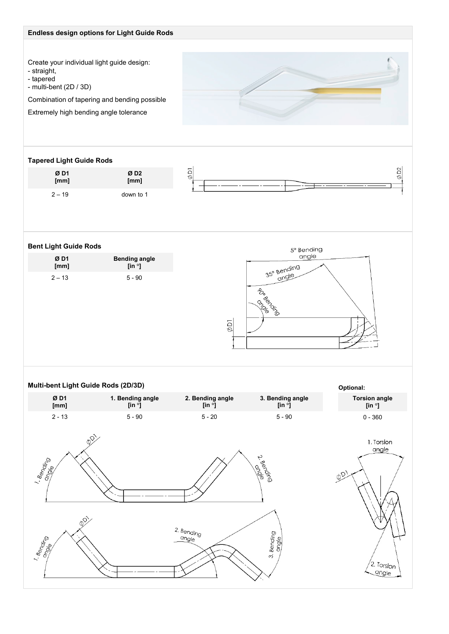# **Endless design options for Light Guide Rods**

Create your individual light guide design:

- straight,

- tapered

- multi-bent (2D / 3D)

Combination of tapering and bending possible

Extremely high bending angle tolerance

## **Tapered Light Guide Rods**

| Ø D1     | ØD <sub>2</sub> |
|----------|-----------------|
| [mm]     | [mm]            |
| $2 - 19$ | down to 1       |



# **Bent Light Guide Rods**

| ØD1      | <b>Bending angle</b> |
|----------|----------------------|
| [mm]     | [in $\degree$ ]      |
| $2 - 13$ | $5 - 90$             |



angle

#### **Multi-bent Light Guide Rods (2D/3D) Optional: 3. Bending angle Ø D1 1. Bending angle 2. Bending angle Torsion angle [in °] [mm] [in °] [in °] [in °]** 0 - 360 2 - 13 5 - 90 5 - 20 5 - 90  $\acute{\Omega}$ 1. Torsion angle 2. Bending 1. Bending **Beige** en die die  $\phi_{\mathcal{D}}$ 000 2. Bending 1. Bending 3. Bending angle angle esterne 2. Torsion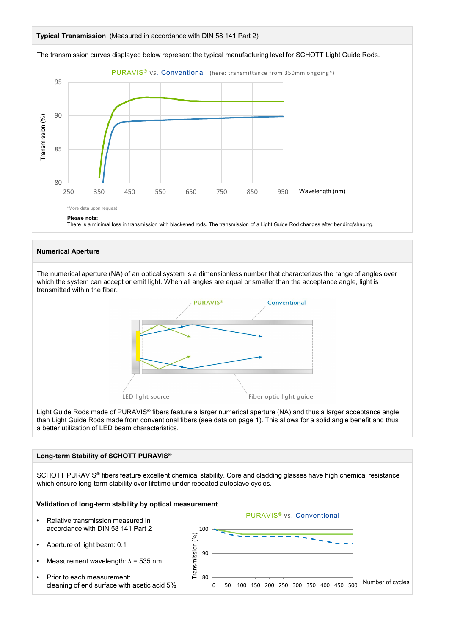

## **Numerical Aperture**

The numerical aperture (NA) of an optical system is a dimensionless number that characterizes the range of angles over which the system can accept or emit light. When all angles are equal or smaller than the acceptance angle, light is transmitted within the fiber.



Light Guide Rods made of PURAVIS® fibers feature a larger numerical aperture (NA) and thus a larger acceptance angle than Light Guide Rods made from conventional fibers (see data on page 1). This allows for a solid angle benefit and thus a better utilization of LED beam characteristics.

## **Long-term Stability of SCHOTT PURAVIS®**

SCHOTT PURAVIS® fibers feature excellent chemical stability. Core and cladding glasses have high chemical resistance which ensure long-term stability over lifetime under repeated autoclave cycles.

## **Validation of long-term stability by optical measurement**

- Relative transmission measured in accordance with DIN 58 141 Part 2
- Aperture of light beam: 0.1
- Measurement wavelength:  $\lambda$  = 535 nm
- Prior to each measurement: cleaning of end surface with acetic acid 5%